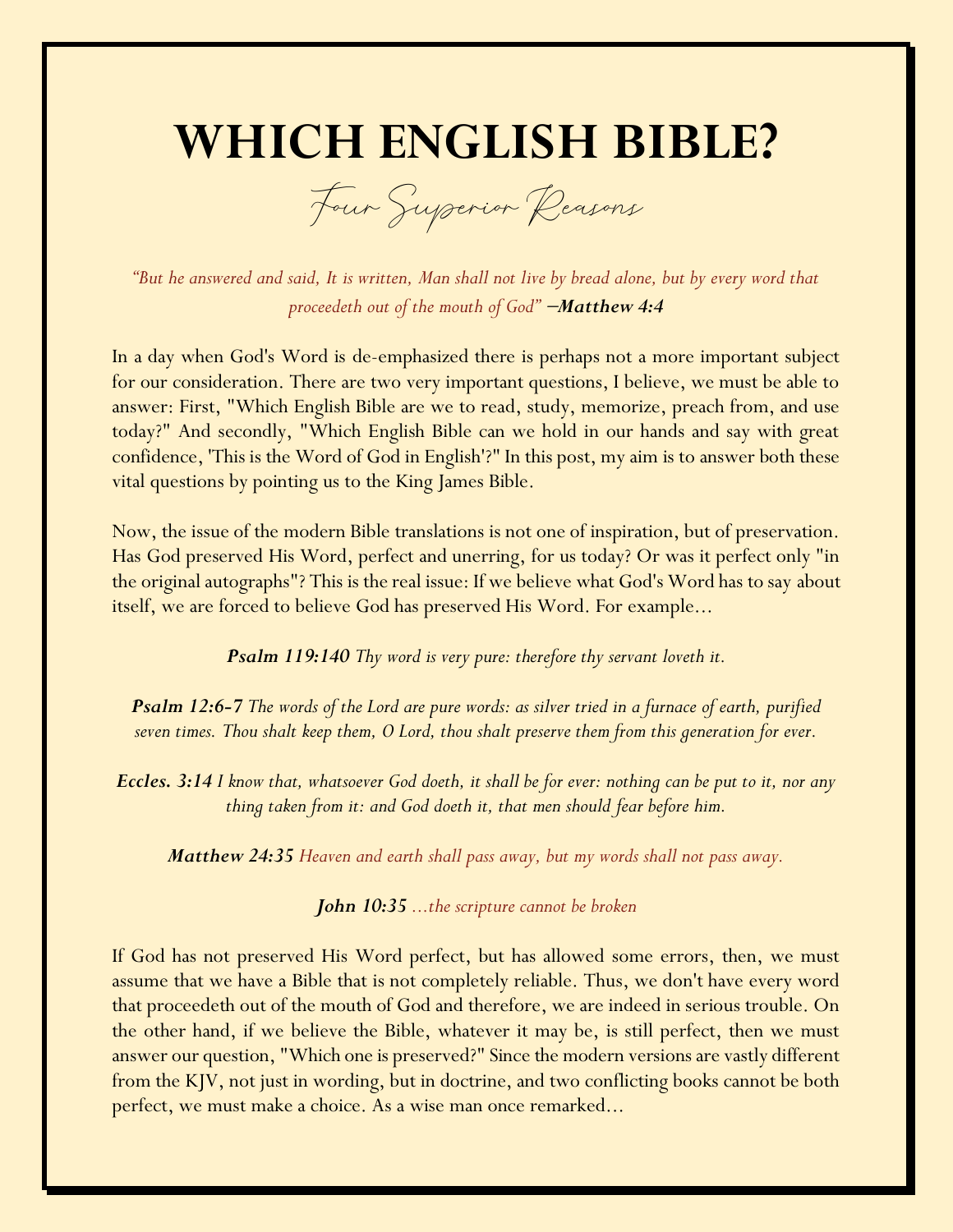# **WHICH ENGLISH BIBLE?**

Four Superior Reasons

*"But he answered and said, It is written, Man shall not live by bread alone, but by every word that proceedeth out of the mouth of God"* <sup>−</sup>*Matthew 4:4*

In a day when God's Word is de-emphasized there is perhaps not a more important subject for our consideration. There are two very important questions, I believe, we must be able to answer: First, "Which English Bible are we to read, study, memorize, preach from, and use today?" And secondly, "Which English Bible can we hold in our hands and say with great confidence, 'This is the Word of God in English'?" In this post, my aim is to answer both these vital questions by pointing us to the King James Bible.

Now, the issue of the modern Bible translations is not one of inspiration, but of preservation. Has God preserved His Word, perfect and unerring, for us today? Or was it perfect only "in the original autographs"? This is the real issue: If we believe what God's Word has to say about itself, we are forced to believe God has preserved His Word. For example...

*Psalm 119:140 Thy word is very pure: therefore thy servant loveth it.*

*Psalm 12:6-7 The words of the Lord are pure words: as silver tried in a furnace of earth, purified seven times. Thou shalt keep them, O Lord, thou shalt preserve them from this generation for ever.*

*Eccles. 3:14 I know that, whatsoever God doeth, it shall be for ever: nothing can be put to it, nor any thing taken from it: and God doeth it, that men should fear before him.*

*Matthew 24:35 Heaven and earth shall pass away, but my words shall not pass away.*

*John 10:35 ...the scripture cannot be broken*

If God has not preserved His Word perfect, but has allowed some errors, then, we must assume that we have a Bible that is not completely reliable. Thus, we don't have every word that proceedeth out of the mouth of God and therefore, we are indeed in serious trouble. On the other hand, if we believe the Bible, whatever it may be, is still perfect, then we must answer our question, "Which one is preserved?" Since the modern versions are vastly different from the KJV, not just in wording, but in doctrine, and two conflicting books cannot be both perfect, we must make a choice. As a wise man once remarked...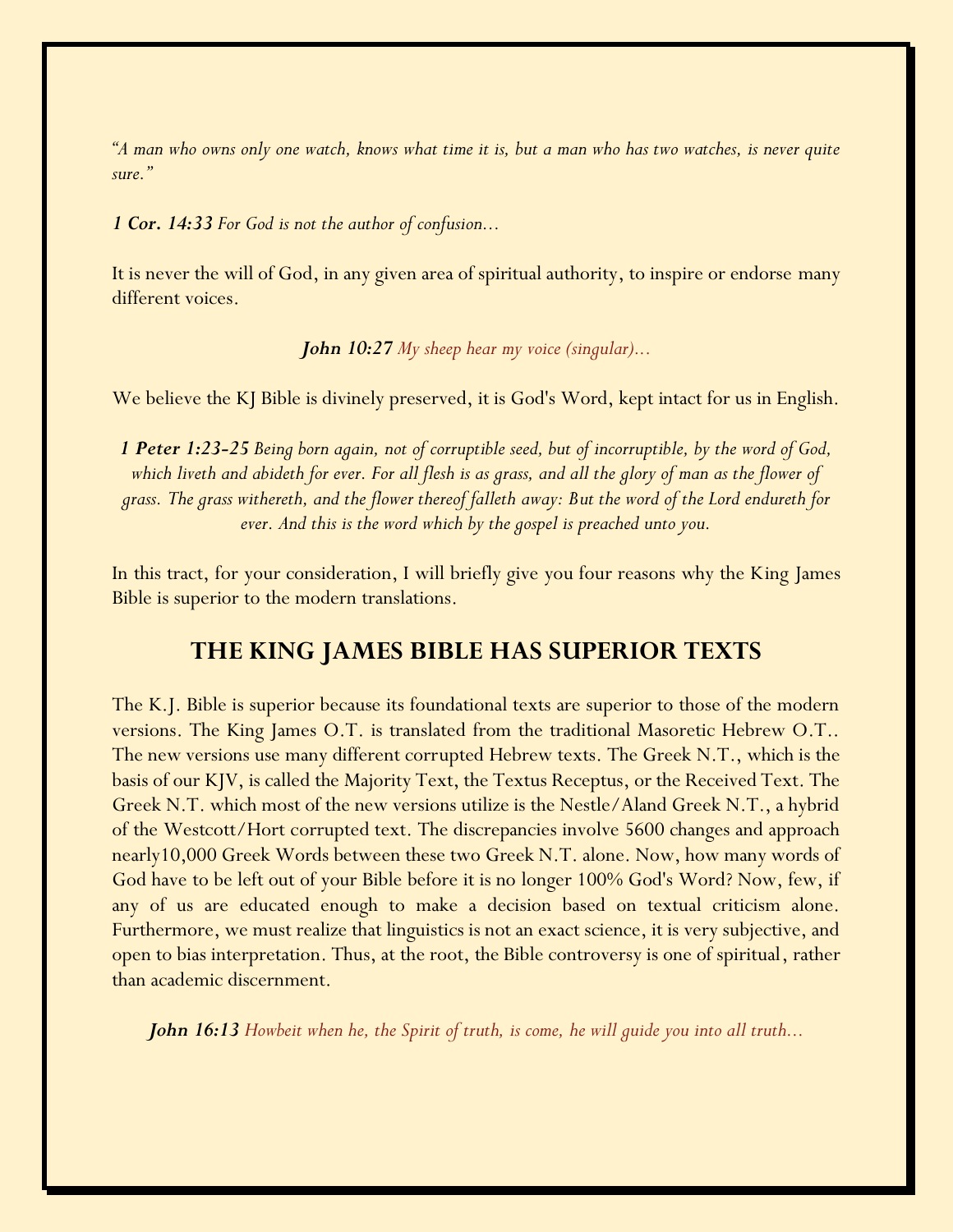*"A man who owns only one watch, knows what time it is, but a man who has two watches, is never quite sure."*

*1 Cor. 14:33 For God is not the author of confusion...*

It is never the will of God, in any given area of spiritual authority, to inspire or endorse many different voices.

*John 10:27 My sheep hear my voice (singular)...*

We believe the KJ Bible is divinely preserved, it is God's Word, kept intact for us in English.

*1 Peter 1:23-25 Being born again, not of corruptible seed, but of incorruptible, by the word of God, which liveth and abideth for ever. For all flesh is as grass, and all the glory of man as the flower of grass. The grass withereth, and the flower thereof falleth away: But the word of the Lord endureth for ever. And this is the word which by the gospel is preached unto you.*

In this tract, for your consideration, I will briefly give you four reasons why the King James Bible is superior to the modern translations.

### **THE KING JAMES BIBLE HAS SUPERIOR TEXTS**

The K.J. Bible is superior because its foundational texts are superior to those of the modern versions. The King James O.T. is translated from the traditional Masoretic Hebrew O.T.. The new versions use many different corrupted Hebrew texts. The Greek N.T., which is the basis of our KJV, is called the Majority Text, the Textus Receptus, or the Received Text. The Greek N.T. which most of the new versions utilize is the Nestle/Aland Greek N.T., a hybrid of the Westcott/Hort corrupted text. The discrepancies involve 5600 changes and approach nearly10,000 Greek Words between these two Greek N.T. alone. Now, how many words of God have to be left out of your Bible before it is no longer 100% God's Word? Now, few, if any of us are educated enough to make a decision based on textual criticism alone. Furthermore, we must realize that linguistics is not an exact science, it is very subjective, and open to bias interpretation. Thus, at the root, the Bible controversy is one of spiritual, rather than academic discernment.

*John 16:13 Howbeit when he, the Spirit of truth, is come, he will guide you into all truth...*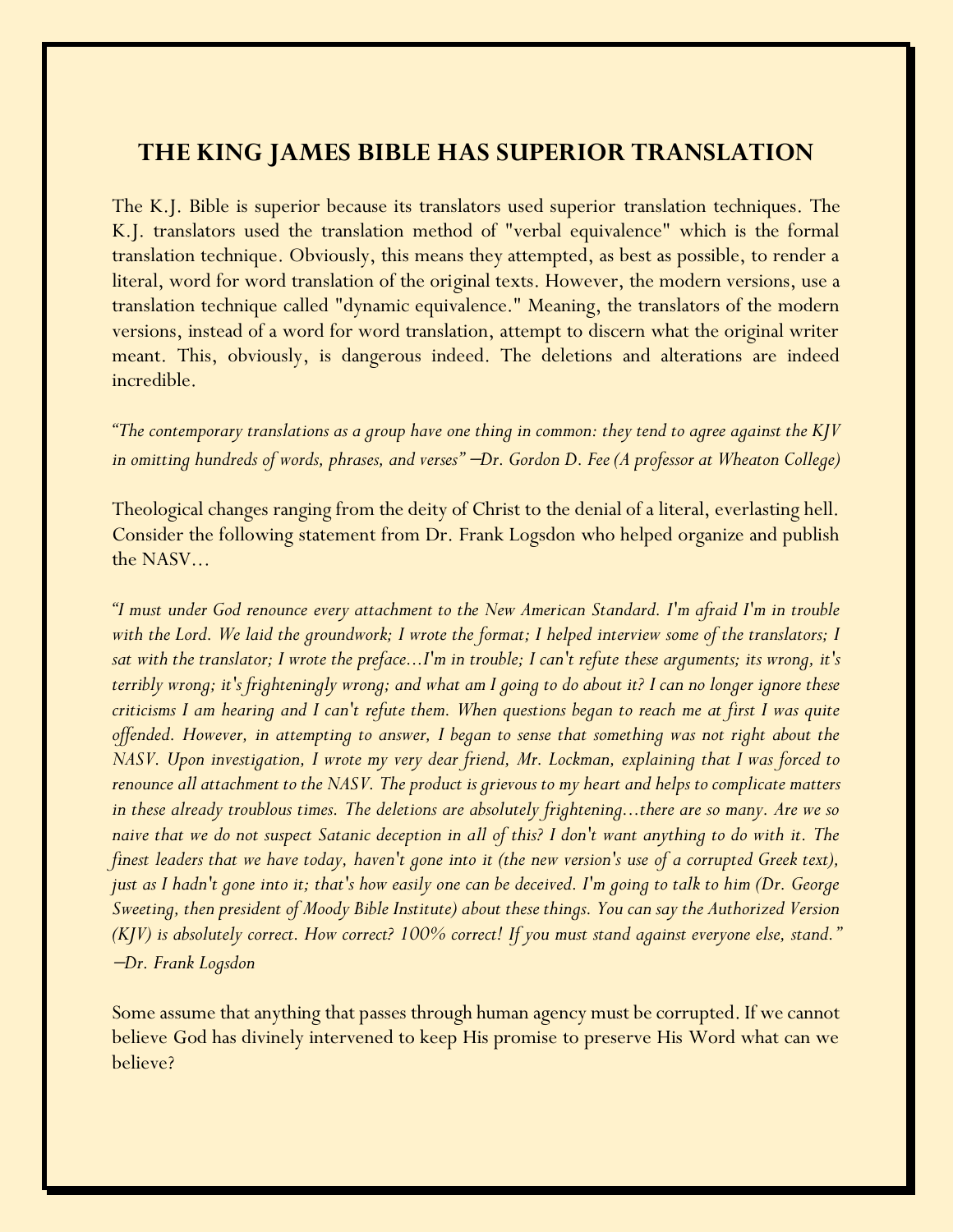## **THE KING JAMES BIBLE HAS SUPERIOR TRANSLATION**

The K.J. Bible is superior because its translators used superior translation techniques. The K.J. translators used the translation method of "verbal equivalence" which is the formal translation technique. Obviously, this means they attempted, as best as possible, to render a literal, word for word translation of the original texts. However, the modern versions, use a translation technique called "dynamic equivalence." Meaning, the translators of the modern versions, instead of a word for word translation, attempt to discern what the original writer meant. This, obviously, is dangerous indeed. The deletions and alterations are indeed incredible.

*"The contemporary translations as a group have one thing in common: they tend to agree against the KJV in omitting hundreds of words, phrases, and verses"* −*Dr. Gordon D. Fee (A professor at Wheaton College)*

Theological changes ranging from the deity of Christ to the denial of a literal, everlasting hell. Consider the following statement from Dr. Frank Logsdon who helped organize and publish the NASV...

*"I must under God renounce every attachment to the New American Standard. I'm afraid I'm in trouble with the Lord. We laid the groundwork; I wrote the format; I helped interview some of the translators; I sat with the translator; I wrote the preface...I'm in trouble; I can't refute these arguments; its wrong, it's terribly wrong; it's frighteningly wrong; and what am I going to do about it? I can no longer ignore these criticisms I am hearing and I can't refute them. When questions began to reach me at first I was quite offended. However, in attempting to answer, I began to sense that something was not right about the NASV. Upon investigation, I wrote my very dear friend, Mr. Lockman, explaining that I was forced to renounce all attachment to the NASV. The product is grievous to my heart and helps to complicate matters in these already troublous times. The deletions are absolutely frightening...there are so many. Are we so naive that we do not suspect Satanic deception in all of this? I don't want anything to do with it. The finest leaders that we have today, haven't gone into it (the new version's use of a corrupted Greek text), just as I hadn't gone into it; that's how easily one can be deceived. I'm going to talk to him (Dr. George Sweeting, then president of Moody Bible Institute) about these things. You can say the Authorized Version (KJV) is absolutely correct. How correct? 100% correct! If you must stand against everyone else, stand."*  <sup>−</sup>*Dr. Frank Logsdon*

Some assume that anything that passes through human agency must be corrupted. If we cannot believe God has divinely intervened to keep His promise to preserve His Word what can we believe?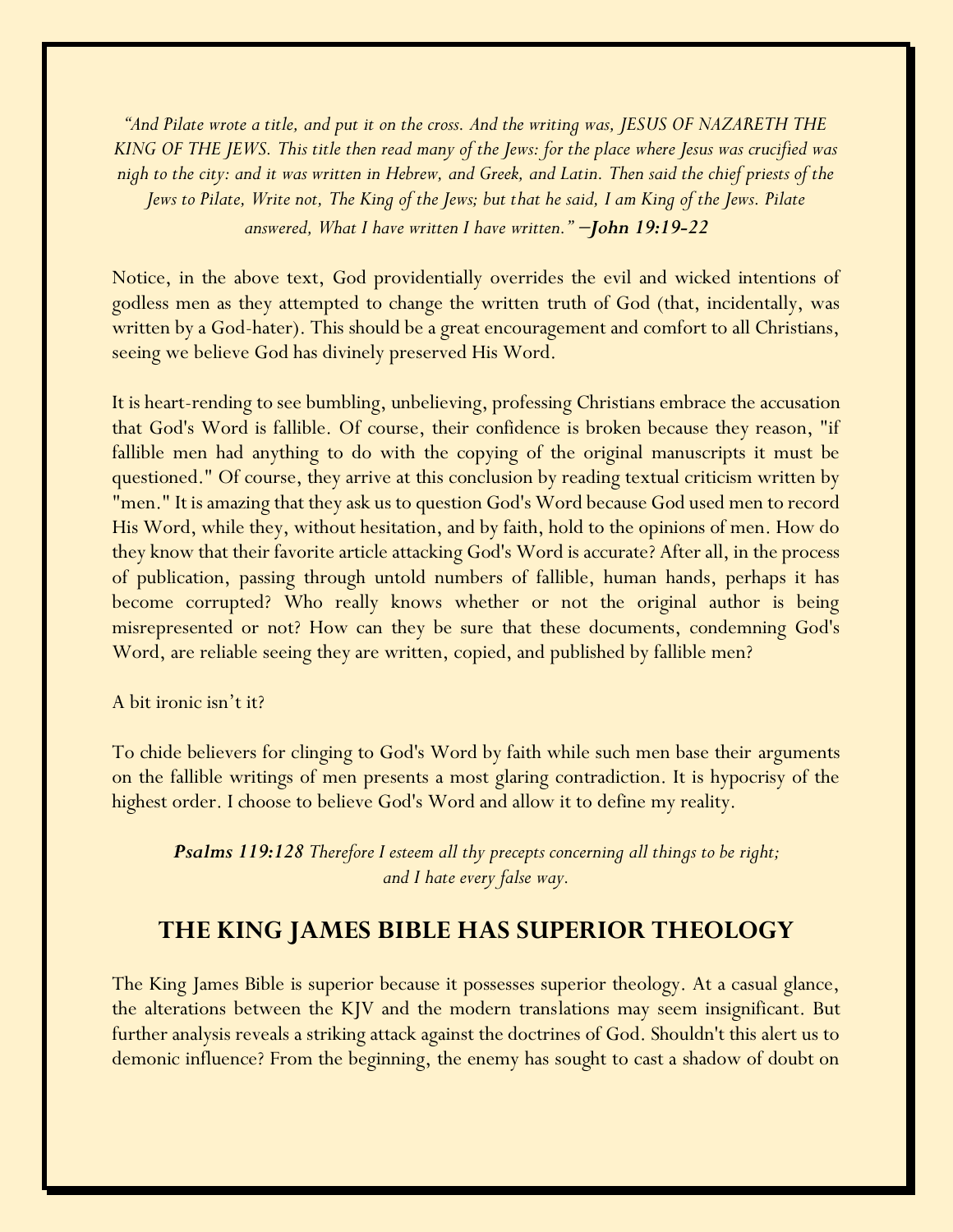*"And Pilate wrote a title, and put it on the cross. And the writing was, JESUS OF NAZARETH THE KING OF THE JEWS. This title then read many of the Jews: for the place where Jesus was crucified was nigh to the city: and it was written in Hebrew, and Greek, and Latin. Then said the chief priests of the Jews to Pilate, Write not, The King of the Jews; but that he said, I am King of the Jews. Pilate answered, What I have written I have written."* −*John 19:19-22*

Notice, in the above text, God providentially overrides the evil and wicked intentions of godless men as they attempted to change the written truth of God (that, incidentally, was written by a God-hater). This should be a great encouragement and comfort to all Christians, seeing we believe God has divinely preserved His Word.

It is heart-rending to see bumbling, unbelieving, professing Christians embrace the accusation that God's Word is fallible. Of course, their confidence is broken because they reason, "if fallible men had anything to do with the copying of the original manuscripts it must be questioned." Of course, they arrive at this conclusion by reading textual criticism written by "men." It is amazing that they ask us to question God's Word because God used men to record His Word, while they, without hesitation, and by faith, hold to the opinions of men. How do they know that their favorite article attacking God's Word is accurate? After all, in the process of publication, passing through untold numbers of fallible, human hands, perhaps it has become corrupted? Who really knows whether or not the original author is being misrepresented or not? How can they be sure that these documents, condemning God's Word, are reliable seeing they are written, copied, and published by fallible men?

A bit ironic isn't it?

To chide believers for clinging to God's Word by faith while such men base their arguments on the fallible writings of men presents a most glaring contradiction. It is hypocrisy of the highest order. I choose to believe God's Word and allow it to define my reality.

*Psalms 119:128 Therefore I esteem all thy precepts concerning all things to be right; and I hate every false way.*

### **THE KING JAMES BIBLE HAS SUPERIOR THEOLOGY**

The King James Bible is superior because it possesses superior theology. At a casual glance, the alterations between the KJV and the modern translations may seem insignificant. But further analysis reveals a striking attack against the doctrines of God. Shouldn't this alert us to demonic influence? From the beginning, the enemy has sought to cast a shadow of doubt on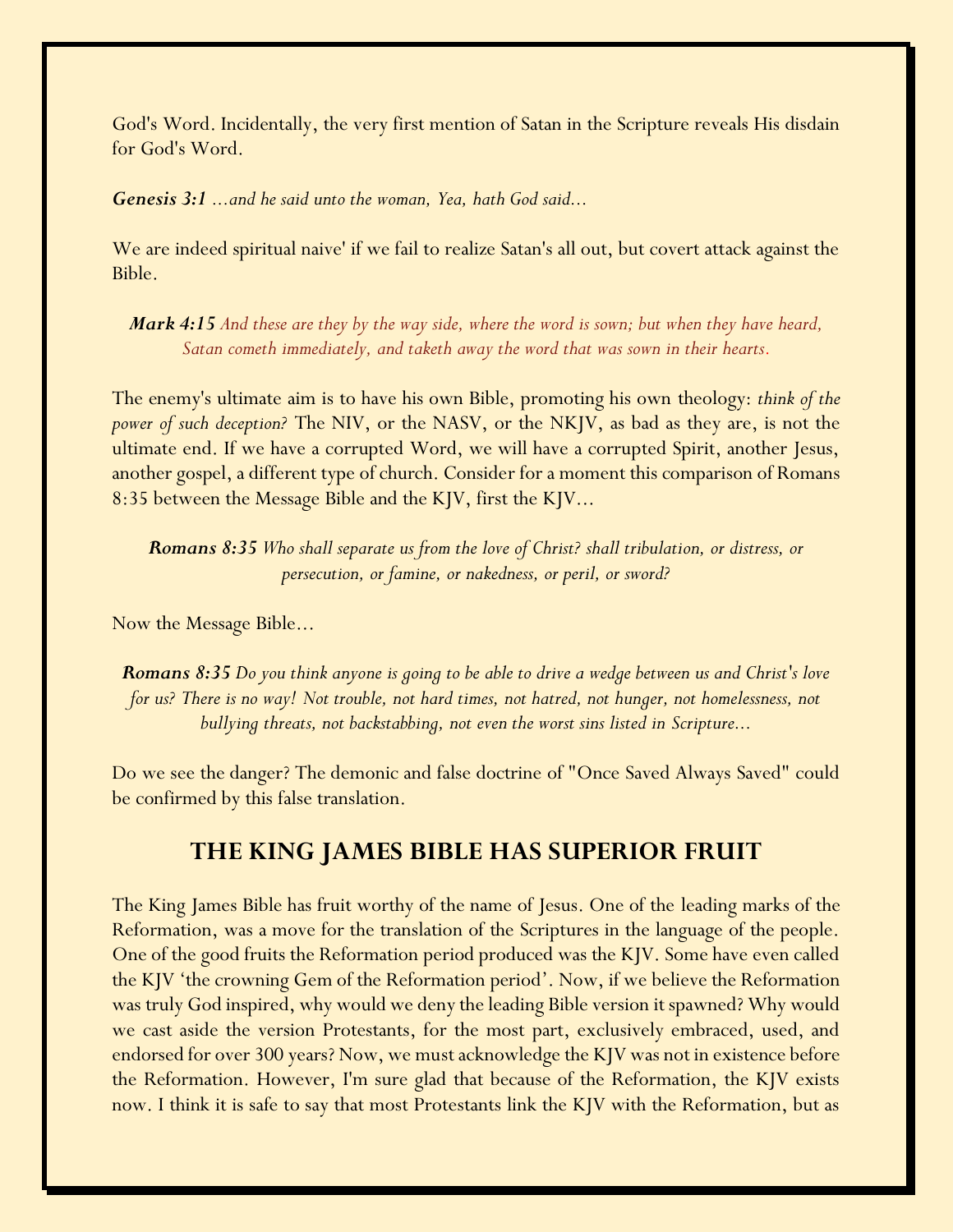God's Word. Incidentally, the very first mention of Satan in the Scripture reveals His disdain for God's Word.

*Genesis 3:1 ...and he said unto the woman, Yea, hath God said...*

We are indeed spiritual naive' if we fail to realize Satan's all out, but covert attack against the Bible.

*Mark 4:15 And these are they by the way side, where the word is sown; but when they have heard, Satan cometh immediately, and taketh away the word that was sown in their hearts.*

The enemy's ultimate aim is to have his own Bible, promoting his own theology: *think of the power of such deception?* The NIV, or the NASV, or the NKJV, as bad as they are, is not the ultimate end. If we have a corrupted Word, we will have a corrupted Spirit, another Jesus, another gospel, a different type of church. Consider for a moment this comparison of Romans 8:35 between the Message Bible and the KJV, first the KJV...

*Romans 8:35 Who shall separate us from the love of Christ? shall tribulation, or distress, or persecution, or famine, or nakedness, or peril, or sword?*

Now the Message Bible...

*Romans 8:35 Do you think anyone is going to be able to drive a wedge between us and Christ's love for us? There is no way! Not trouble, not hard times, not hatred, not hunger, not homelessness, not bullying threats, not backstabbing, not even the worst sins listed in Scripture...*

Do we see the danger? The demonic and false doctrine of "Once Saved Always Saved" could be confirmed by this false translation.

#### **THE KING JAMES BIBLE HAS SUPERIOR FRUIT**

The King James Bible has fruit worthy of the name of Jesus. One of the leading marks of the Reformation, was a move for the translation of the Scriptures in the language of the people. One of the good fruits the Reformation period produced was the KJV. Some have even called the KJV 'the crowning Gem of the Reformation period'. Now, if we believe the Reformation was truly God inspired, why would we deny the leading Bible version it spawned? Why would we cast aside the version Protestants, for the most part, exclusively embraced, used, and endorsed for over 300 years? Now, we must acknowledge the KJV was not in existence before the Reformation. However, I'm sure glad that because of the Reformation, the KJV exists now. I think it is safe to say that most Protestants link the KJV with the Reformation, but as